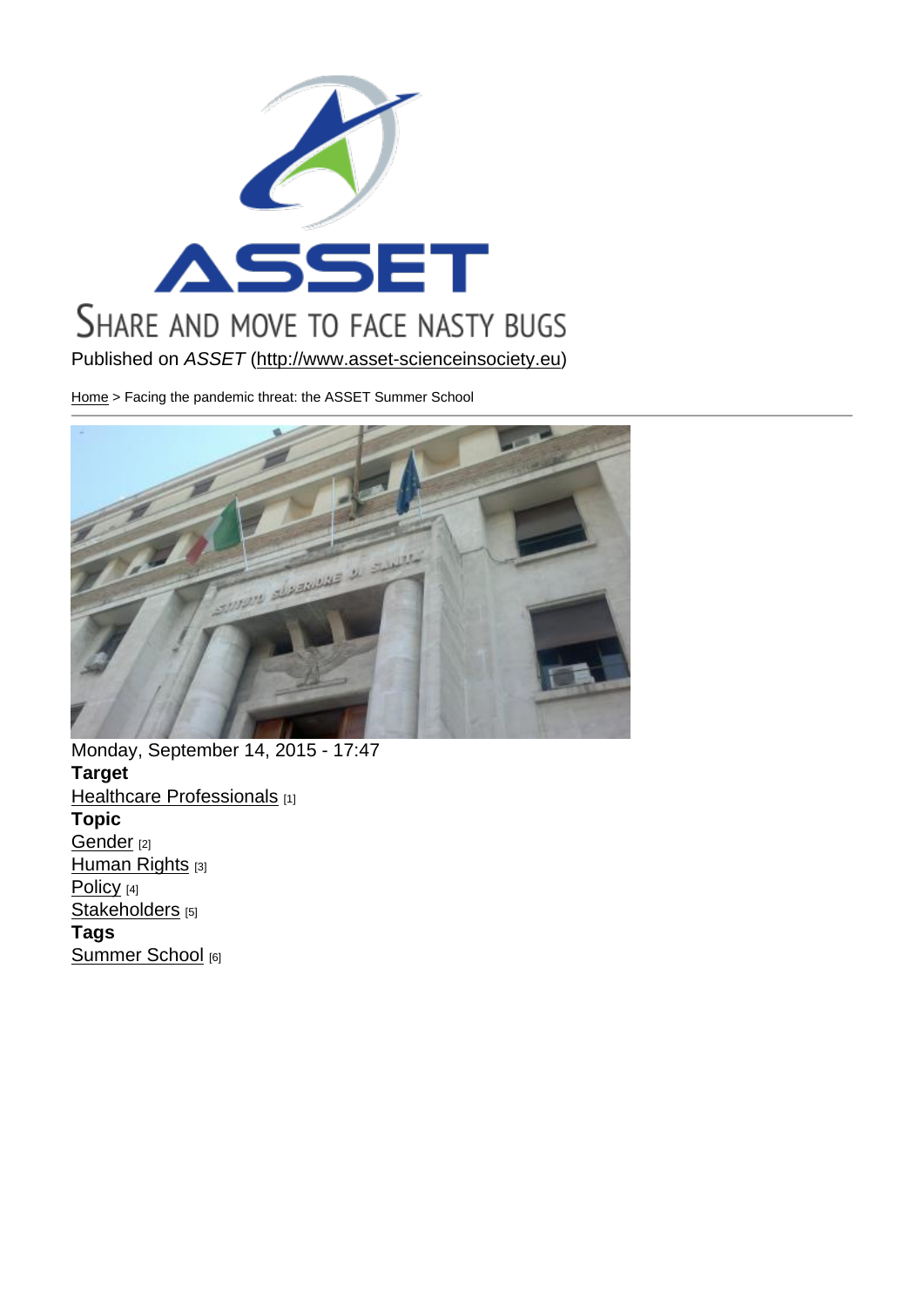Published on ASSET (http://www.asset-scienceinsociety.eu)

Home > Facing the pandemic threat: the ASSET Summer School

Monday, September 14, 2015 - 17:47 Target **Healthcare Professionals** [1] Topic Gender<sub>[2]</sub> [Human Rights](http://www.asset-scienceinsociety.eu/target/healthcare-professionals) [3] Policy [4] [Stakeho](http://www.asset-scienceinsociety.eu/topic/gender)lders [5] [Tags](http://www.asset-scienceinsociety.eu/topic/human-rights)  [Summ](http://www.asset-scienceinsociety.eu/topic/policy)er School [6]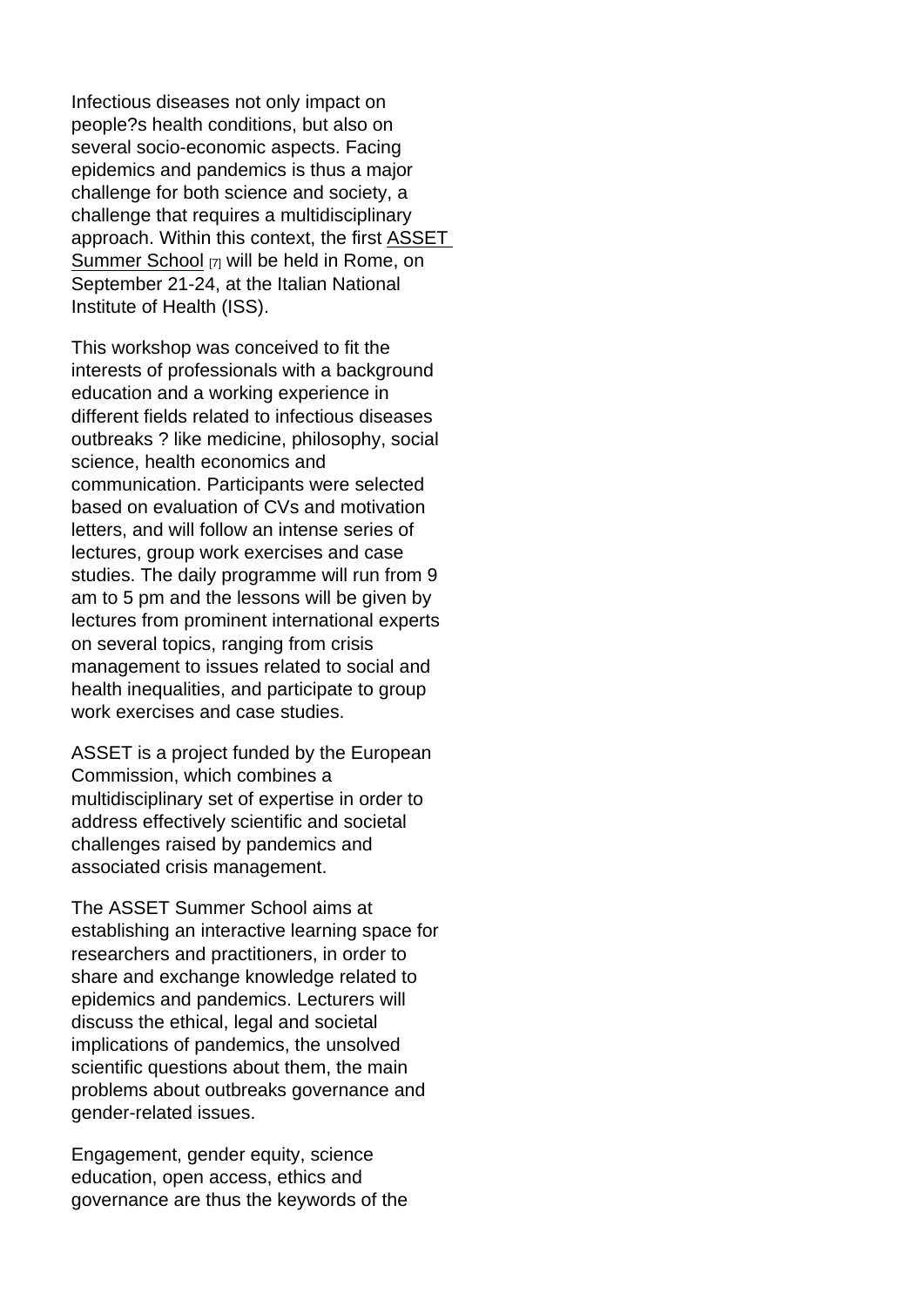Infectious diseases not only impact on people?s health conditions, but also on several socio-economic aspects. Facing epidemics and pandemics is thus a major challenge for both science and society, a challenge that requires a multidisciplinary approach. Within this context, the first ASSET Summer School [7] will be held in Rome, on September 21-24, at the Italian National Institute of Health (ISS).

[This workshop w](http://www.asset-scienceinsociety.eu/events/summer-school-science-society-related-issues-pandemics)as conceived to fit the interests of professionals with a background education and a working experience in different fields related to infectious diseases outbreaks ? like medicine, philosophy, social science, health economics and communication. Participants were selected based on evaluation of CVs and motivation letters, and will follow an intense series of lectures, group work exercises and case studies. The daily programme will run from 9 am to 5 pm and the lessons will be given by lectures from prominent international experts on several topics, ranging from crisis management to issues related to social and health inequalities, and participate to group work exercises and case studies.

ASSET is a project funded by the European Commission, which combines a multidisciplinary set of expertise in order to address effectively scientific and societal challenges raised by pandemics and associated crisis management.

The ASSET Summer School aims at establishing an interactive learning space for researchers and practitioners, in order to share and exchange knowledge related to epidemics and pandemics. Lecturers will discuss the ethical, legal and societal implications of pandemics, the unsolved scientific questions about them, the main problems about outbreaks governance and gender-related issues.

Engagement, gender equity, science education, open access, ethics and governance are thus the keywords of the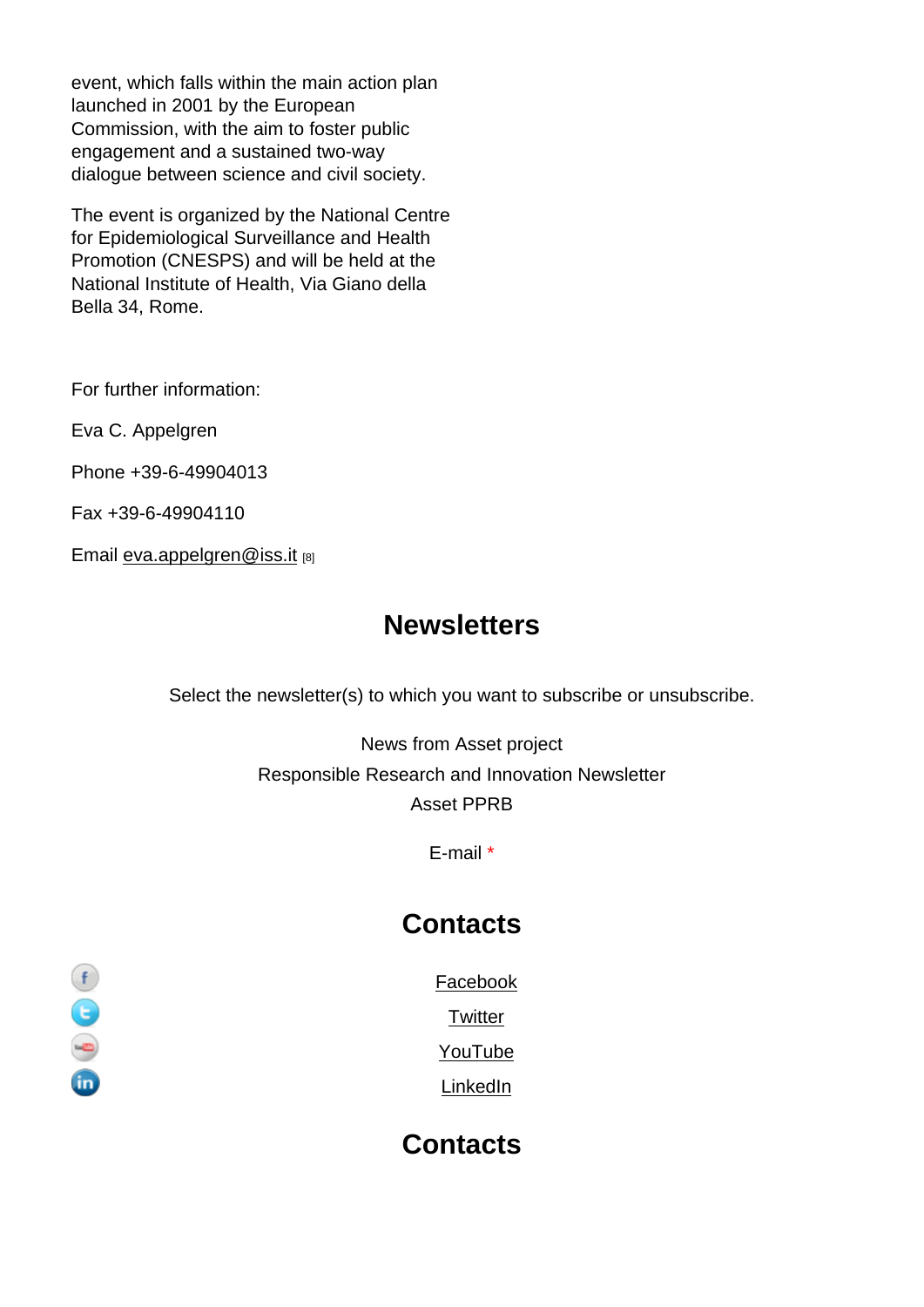event, which falls within the main action plan launched in 2001 by the European Commission, with the aim to foster public engagement and a sustained two-way dialogue between science and civil society.

The event is organized by the National Centre for Epidemiological Surveillance and Health Promotion (CNESPS) and will be held at the National Institute of Health, Via Giano della Bella 34, Rome.

For further information:

Eva C. Appelgren

Phone +39-6-49904013

Fax +39-6-49904110

Email eva.appelgren@iss.it [8]

## **Newsletters**

Select the newsletter(s) to which you want to subscribe or unsubscribe.

News from Asset project Responsible Research and Innovation Newsletter Asset PPRB

E-mail \*

## **Contacts**

Facebook

**Twitter** 

YouTube

**LinkedIn** 

**Contacts**